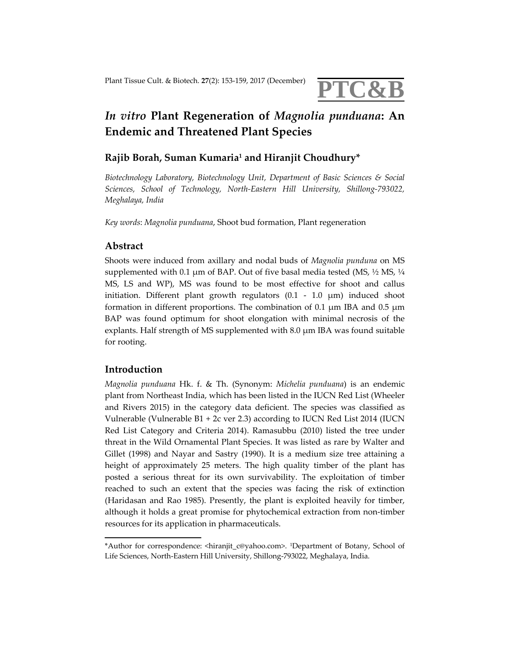

# *In vitro* **Plant Regeneration of** *Magnolia punduana***: An Endemic and Threatened Plant Species**

## **Rajib Borah, Suman Kumaria1 and Hiranjit Choudhury\***

*Biotechnology Laboratory, Biotechnology Unit, Department of Basic Sciences & Social Sciences, School of Technology, North‐Eastern Hill University, Shillong‐793022, Meghalaya, India*

*Key words*: *Magnolia punduana*, Shoot bud formation, Plant regeneration

#### **Abstract**

Shoots were induced from axillary and nodal buds of *Magnolia punduna* on MS supplemented with 0.1  $\mu$ m of BAP. Out of five basal media tested (MS,  $\frac{1}{2}$  MS,  $\frac{1}{4}$ MS, LS and WP), MS was found to be most effective for shoot and callus initiation. Different plant growth regulators  $(0.1 - 1.0 \mu m)$  induced shoot formation in different proportions. The combination of 0.1  $\mu$ m IBA and 0.5  $\mu$ m BAP was found optimum for shoot elongation with minimal necrosis of the explants. Half strength of MS supplemented with 8.0 μm IBA was found suitable for rooting.

#### **Introduction**

*Magnolia punduana* Hk. f. & Th. (Synonym: *Michelia punduana*) is an endemic plant from Northeast India, which has been listed in the IUCN Red List (Wheeler and Rivers 2015) in the category data deficient. The species was classified as Vulnerable (Vulnerable B1 + 2c ver 2.3) according to IUCN Red List 2014 (IUCN Red List Category and Criteria 2014). Ramasubbu (2010) listed the tree under threat in the Wild Ornamental Plant Species. It was listed as rare by Walter and Gillet (1998) and Nayar and Sastry (1990). It is a medium size tree attaining a height of approximately 25 meters. The high quality timber of the plant has posted a serious threat for its own survivability. The exploitation of timber reached to such an extent that the species was facing the risk of extinction (Haridasan and Rao 1985). Presently, the plant is exploited heavily for timber, although it holds a great promise for phytochemical extraction from non‐timber resources for its application in pharmaceuticals.

<sup>\*</sup>Author for correspondence: <hiranjit\_c@yahoo.com>. 1Department of Botany, School of Life Sciences, North‐Eastern Hill University, Shillong‐793022, Meghalaya, India.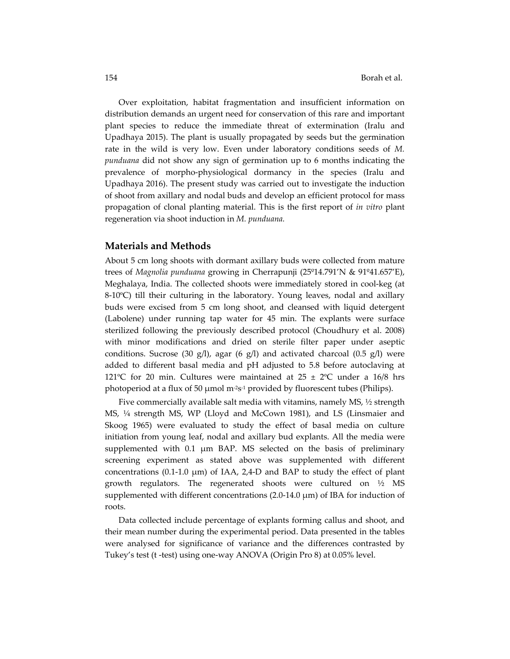Over exploitation, habitat fragmentation and insufficient information on distribution demands an urgent need for conservation of this rare and important plant species to reduce the immediate threat of extermination (Iralu and Upadhaya 2015). The plant is usually propagated by seeds but the germination rate in the wild is very low. Even under laboratory conditions seeds of *M. punduana* did not show any sign of germination up to 6 months indicating the prevalence of morpho‐physiological dormancy in the species (Iralu and Upadhaya 2016). The present study was carried out to investigate the induction of shoot from axillary and nodal buds and develop an efficient protocol for mass propagation of clonal planting material. This is the first report of *in vitro* plant regeneration via shoot induction in *M. punduana.*

#### **Materials and Methods**

About 5 cm long shoots with dormant axillary buds were collected from mature trees of *Magnolia punduana* growing in Cherrapunji (25º14.791'N & 91º41.657'E), Meghalaya, India. The collected shoots were immediately stored in cool‐keg (at 8-10°C) till their culturing in the laboratory. Young leaves, nodal and axillary buds were excised from 5 cm long shoot, and cleansed with liquid detergent (Labolene) under running tap water for 45 min. The explants were surface sterilized following the previously described protocol (Choudhury et al. 2008) with minor modifications and dried on sterile filter paper under aseptic conditions. Sucrose (30 g/l), agar (6 g/l) and activated charcoal (0.5 g/l) were added to different basal media and pH adjusted to 5.8 before autoclaving at 121°C for 20 min. Cultures were maintained at  $25 \pm 2$ °C under a 16/8 hrs photoperiod at a flux of 50 μmol m<sup>-2</sup>s<sup>-1</sup> provided by fluorescent tubes (Philips).

Five commercially available salt media with vitamins, namely MS, ½ strength MS, ¼ strength MS, WP (Lloyd and McCown 1981), and LS (Linsmaier and Skoog 1965) were evaluated to study the effect of basal media on culture initiation from young leaf, nodal and axillary bud explants. All the media were supplemented with 0.1 μm BAP. MS selected on the basis of preliminary screening experiment as stated above was supplemented with different concentrations (0.1-1.0  $\mu$ m) of IAA, 2,4-D and BAP to study the effect of plant growth regulators. The regenerated shoots were cultured on ½ MS supplemented with different concentrations  $(2.0-14.0 \mu m)$  of IBA for induction of roots.

Data collected include percentage of explants forming callus and shoot, and their mean number during the experimental period. Data presented in the tables were analysed for significance of variance and the differences contrasted by Tukey's test (t ‐test) using one‐way ANOVA (Origin Pro 8) at 0.05% level.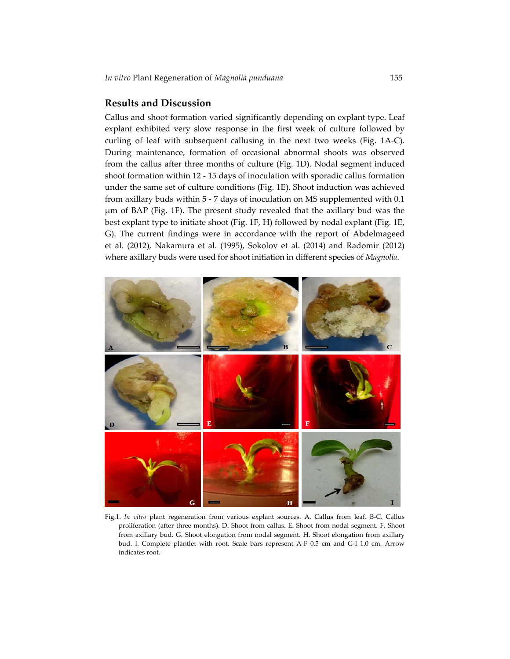#### **Results and Discussion**

Callus and shoot formation varied significantly depending on explant type. Leaf explant exhibited very slow response in the first week of culture followed by curling of leaf with subsequent callusing in the next two weeks (Fig. 1A‐C). During maintenance, formation of occasional abnormal shoots was observed from the callus after three months of culture (Fig. 1D). Nodal segment induced shoot formation within 12 ‐ 15 days of inoculation with sporadic callus formation under the same set of culture conditions (Fig. 1E). Shoot induction was achieved from axillary buds within 5 ‐ 7 days of inoculation on MS supplemented with 0.1 μm of BAP (Fig. 1F). The present study revealed that the axillary bud was the best explant type to initiate shoot (Fig. 1F, H) followed by nodal explant (Fig. 1E, G). The current findings were in accordance with the report of Abdelmageed et al. (2012), Nakamura et al. (1995), Sokolov et al. (2014) and Radomir (2012) where axillary buds were used for shoot initiation in different species of *Magnolia*.



Fig.1. *In vitro* plant regeneration from various explant sources. A. Callus from leaf. B‐C. Callus proliferation (after three months). D. Shoot from callus. E. Shoot from nodal segment. F. Shoot from axillary bud. G. Shoot elongation from nodal segment. H. Shoot elongation from axillary bud. I. Complete plantlet with root. Scale bars represent A‐F 0.5 cm and G‐I 1.0 cm. Arrow indicates root.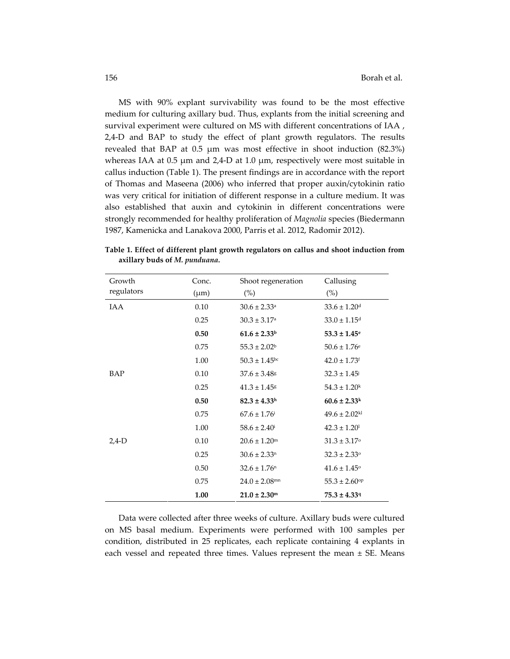MS with 90% explant survivability was found to be the most effective medium for culturing axillary bud. Thus, explants from the initial screening and survival experiment were cultured on MS with different concentrations of IAA , 2,4‐D and BAP to study the effect of plant growth regulators. The results revealed that BAP at 0.5 μm was most effective in shoot induction (82.3%) whereas IAA at 0.5 μm and 2,4‐D at 1.0 μm, respectively were most suitable in callus induction (Table 1). The present findings are in accordance with the report of Thomas and Maseena (2006) who inferred that proper auxin/cytokinin ratio was very critical for initiation of different response in a culture medium. It was also established that auxin and cytokinin in different concentrations were strongly recommended for healthy proliferation of *Magnolia* species (Biedermann 1987, Kamenicka and Lanakova 2000, Parris et al. 2012, Radomir 2012).

| Growth     | Conc.     | Shoot regeneration            | Callusing                     |
|------------|-----------|-------------------------------|-------------------------------|
| regulators | $(\mu m)$ | $(\%)$                        | $(\%)$                        |
| IAA        | 0.10      | $30.6 \pm 2.33$ <sup>a</sup>  | $33.6 \pm 1.20$ <sup>d</sup>  |
|            | 0.25      | $30.3 \pm 3.17$ <sup>a</sup>  | $33.0 \pm 1.15$ <sup>d</sup>  |
|            | 0.50      | $61.6 \pm 2.33$               | $53.3 \pm 1.45$ <sup>e</sup>  |
|            | 0.75      | $55.3 \pm 2.02^b$             | $50.6 \pm 1.76$ <sup>e</sup>  |
|            | 1.00      | $50.3 \pm 1.45$ <sup>bc</sup> | $42.0 \pm 1.73$ <sup>f</sup>  |
| BAP        | 0.10      | $37.6 \pm 3.48$ <sup>g</sup>  | $32.3 \pm 1.45$               |
|            | 0.25      | $41.3 \pm 1.45$ <sup>g</sup>  | $54.3 \pm 1.20$ <sup>k</sup>  |
|            | 0.50      | $82.3 \pm 4.33$ <sup>h</sup>  | $60.6 \pm 2.33$ <sup>k</sup>  |
|            | 0.75      | $67.6 \pm 1.76$ <sup>i</sup>  | $49.6 \pm 2.02$ <sup>kl</sup> |
|            | 1.00      | $58.6 \pm 2.40^{\mathrm{i}}$  | $42.3 \pm 1.20^1$             |
| $2,4-D$    | 0.10      | $20.6 \pm 1.20$ <sup>m</sup>  | $31.3 \pm 3.17$ °             |
|            | 0.25      | $30.6 \pm 2.33$ <sup>n</sup>  | $32.3 \pm 2.33$ <sup>o</sup>  |
|            | 0.50      | $32.6 \pm 1.76$ <sup>n</sup>  | $41.6 \pm 1.45$ <sup>o</sup>  |
|            | 0.75      | $24.0 \pm 2.08$ <sup>mn</sup> | $55.3 \pm 2.60$ <sup>op</sup> |
|            | 1.00      | $21.0 \pm 2.30$ <sup>m</sup>  | $75.3 \pm 4.339$              |

**Table 1. Effect of different plant growth regulators on callus and shoot induction from axillary buds of** *M. punduana.*

Data were collected after three weeks of culture. Axillary buds were cultured on MS basal medium. Experiments were performed with 100 samples per condition, distributed in 25 replicates, each replicate containing 4 explants in each vessel and repeated three times. Values represent the mean ± SE. Means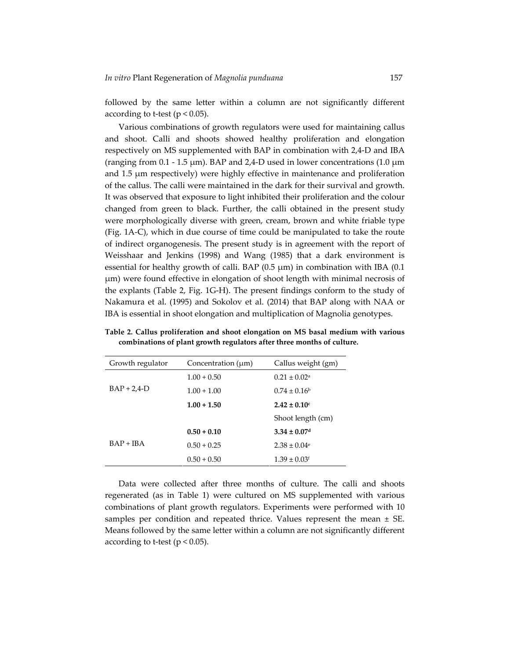followed by the same letter within a column are not significantly different according to t-test ( $p < 0.05$ ).

Various combinations of growth regulators were used for maintaining callus and shoot. Calli and shoots showed healthy proliferation and elongation respectively on MS supplemented with BAP in combination with 2,4‐D and IBA (ranging from 0.1 - 1.5  $\mu$ m). BAP and 2,4-D used in lower concentrations (1.0  $\mu$ m) and 1.5 μm respectively) were highly effective in maintenance and proliferation of the callus. The calli were maintained in the dark for their survival and growth. It was observed that exposure to light inhibited their proliferation and the colour changed from green to black. Further, the calli obtained in the present study were morphologically diverse with green, cream, brown and white friable type (Fig. 1A‐C), which in due course of time could be manipulated to take the route of indirect organogenesis. The present study is in agreement with the report of Weisshaar and Jenkins (1998) and Wang (1985) that a dark environment is essential for healthy growth of calli. BAP  $(0.5 \mu m)$  in combination with IBA  $(0.1 \mu m)$ μm) were found effective in elongation of shoot length with minimal necrosis of the explants (Table 2, Fig. 1G‐H). The present findings conform to the study of Nakamura et al. (1995) and Sokolov et al. (2014) that BAP along with NAA or IBA is essential in shoot elongation and multiplication of Magnolia genotypes.

| Growth regulator | Concentration $(\mu m)$ | Callus weight (gm)           |
|------------------|-------------------------|------------------------------|
|                  | $1.00 + 0.50$           | $0.21 \pm 0.02$ <sup>a</sup> |
| $BAP + 2.4-D$    | $1.00 + 1.00$           | $0.74 \pm 0.16^{\circ}$      |
|                  | $1.00 + 1.50$           | $2.42 \pm 0.10$ c            |
|                  |                         | Shoot length (cm)            |
|                  | $0.50 + 0.10$           | $3.34 \pm 0.07$ <sup>d</sup> |
| $BAP + IBA$      | $0.50 + 0.25$           | $2.38 \pm 0.04$ <sup>e</sup> |
|                  | $0.50 + 0.50$           | $1.39 \pm 0.03$ f            |

**Table 2. Callus proliferation and shoot elongation on MS basal medium with various combinations of plant growth regulators after three months of culture.**

Data were collected after three months of culture. The calli and shoots regenerated (as in Table 1) were cultured on MS supplemented with various combinations of plant growth regulators. Experiments were performed with 10 samples per condition and repeated thrice. Values represent the mean ± SE. Means followed by the same letter within a column are not significantly different according to t-test ( $p < 0.05$ ).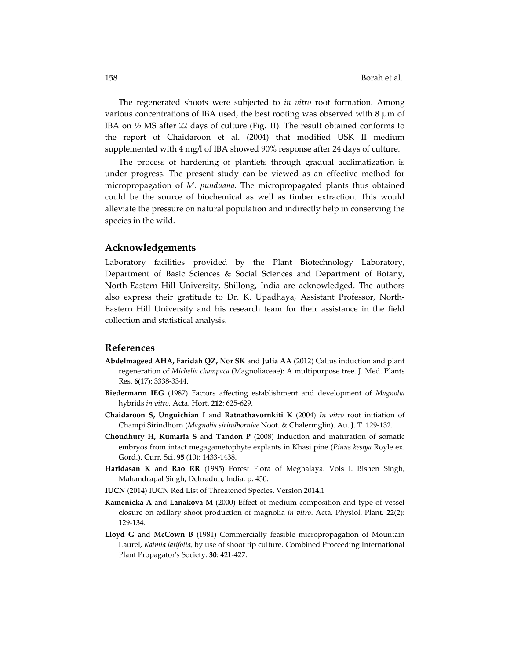The regenerated shoots were subjected to *in vitro* root formation. Among various concentrations of IBA used, the best rooting was observed with 8 μm of IBA on  $\frac{1}{2}$  MS after 22 days of culture (Fig. 1I). The result obtained conforms to the report of Chaidaroon et al. (2004) that modified USK II medium supplemented with 4 mg/l of IBA showed 90% response after 24 days of culture.

The process of hardening of plantlets through gradual acclimatization is under progress. The present study can be viewed as an effective method for micropropagation of *M. punduana.* The micropropagated plants thus obtained could be the source of biochemical as well as timber extraction. This would alleviate the pressure on natural population and indirectly help in conserving the species in the wild.

#### **Acknowledgements**

Laboratory facilities provided by the Plant Biotechnology Laboratory, Department of Basic Sciences & Social Sciences and Department of Botany, North‐Eastern Hill University, Shillong, India are acknowledged. The authors also express their gratitude to Dr. K. Upadhaya, Assistant Professor, North‐ Eastern Hill University and his research team for their assistance in the field collection and statistical analysis.

### **References**

- **Abdelmageed AHA, Faridah QZ, Nor SK** and **Julia AA** (2012) Callus induction and plant regeneration of *Michelia champaca* (Magnoliaceae): A multipurpose tree. J. Med. Plants Res. **6**(17): 3338‐3344.
- **Biedermann IEG** (1987) Factors affecting establishment and development of *Magnolia* hybrids *in vitro*. Acta. Hort. **212**: 625‐629.
- **Chaidaroon S, Unguichian I** and **Ratnathavornkiti K** (2004) *In vitro* root initiation of Champi Sirindhorn (*Magnolia sirindhorniae* Noot. & Chalermglin). Au. J. T. 129‐132.
- **Choudhury H, Kumaria S** and **Tandon P** (2008) Induction and maturation of somatic embryos from intact megagametophyte explants in Khasi pine (*Pinus kesiya* Royle ex. Gord.). Curr. Sci. **95** (10): 1433‐1438.
- **Haridasan K** and **Rao RR** (1985) Forest Flora of Meghalaya. Vols I. Bishen Singh, Mahandrapal Singh, Dehradun, India. p. 450.
- **IUCN** (2014) IUCN Red List of Threatened Species. Version 2014.1
- **Kamenicka A** and **Lanakova M** (2000) Effect of medium composition and type of vessel closure on axillary shoot production of magnolia *in vitro*. Acta. Physiol. Plant. **22**(2): 129‐134.
- **Lloyd G** and **McCown B** (1981) Commercially feasible micropropagation of Mountain Laurel, *Kalmia latifolia*, by use of shoot tip culture. Combined Proceeding International Plant Propagatorʹs Society. **30**: 421‐427.